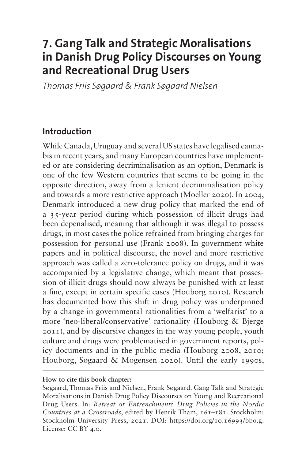# **7. Gang Talk and Strategic Moralisations in Danish Drug Policy Discourses on Young and Recreational Drug Users**

*Thomas Friis Søgaard & Frank Søgaard Nielsen*

#### **Introduction**

While Canada, Uruguay and several US states have legalised cannabis in recent years, and many European countries have implemented or are considering decriminalisation as an option, Denmark is one of the few Western countries that seems to be going in the opposite direction, away from a lenient decriminalisation policy and towards a more restrictive approach (Moeller 2020). In 2004, Denmark introduced a new drug policy that marked the end of a 35-year period during which possession of illicit drugs had been depenalised, meaning that although it was illegal to possess drugs, in most cases the police refrained from bringing charges for possession for personal use (Frank 2008). In government white papers and in political discourse, the novel and more restrictive approach was called a zero-tolerance policy on drugs, and it was accompanied by a legislative change, which meant that possession of illicit drugs should now always be punished with at least a fine, except in certain specific cases (Houborg 2010). Research has documented how this shift in drug policy was underpinned by a change in governmental rationalities from a 'welfarist' to a more 'neo-liberal/conservative' rationality (Houborg & Bjerge 2011), and by discursive changes in the way young people, youth culture and drugs were problematised in government reports, policy documents and in the public media (Houborg 2008, 2010; Houborg, Søgaard & Mogensen 2020). Until the early 1990s,

#### **How to cite this book chapter:**

Søgaard, Thomas Friis and Nielsen, Frank Søgaard. Gang Talk and Strategic Moralisations in Danish Drug Policy Discourses on Young and Recreational Drug Users. In: *Retreat or Entrenchment? Drug Policies in the Nordic Countries at a Crossroads*, edited by Henrik Tham, 161–181. Stockholm: Stockholm University Press, 2021. DOI: <https://doi.org/10.16993/bbo.g>. License: CC BY 4.0.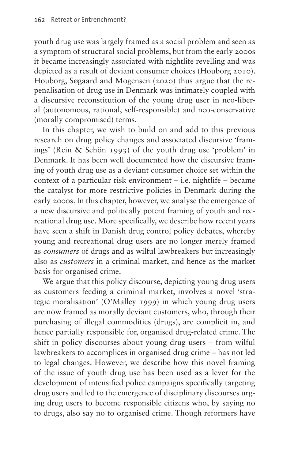youth drug use was largely framed as a social problem and seen as a symptom of structural social problems, but from the early 2000s it became increasingly associated with nightlife revelling and was depicted as a result of deviant consumer choices (Houborg 2010). Houborg, Søgaard and Mogensen (2020) thus argue that the repenalisation of drug use in Denmark was intimately coupled with a discursive reconstitution of the young drug user in neo-liberal (autonomous, rational, self-responsible) and neo-conservative (morally compromised) terms.

In this chapter, we wish to build on and add to this previous research on drug policy changes and associated discursive 'framings' (Rein & Schön 1993) of the youth drug use 'problem' in Denmark. It has been well documented how the discursive framing of youth drug use as a deviant consumer choice set within the context of a particular risk environment – i.e. nightlife – became the catalyst for more restrictive policies in Denmark during the early 2000s. In this chapter, however, we analyse the emergence of a new discursive and politically potent framing of youth and recreational drug use. More specifically, we describe how recent years have seen a shift in Danish drug control policy debates, whereby young and recreational drug users are no longer merely framed as *consumers* of drugs and as wilful lawbreakers but increasingly also as *customers* in a criminal market, and hence as the market basis for organised crime.

We argue that this policy discourse, depicting young drug users as customers feeding a criminal market, involves a novel 'strategic moralisation' (O'Malley 1999) in which young drug users are now framed as morally deviant customers, who, through their purchasing of illegal commodities (drugs), are complicit in, and hence partially responsible for, organised drug-related crime. The shift in policy discourses about young drug users – from wilful lawbreakers to accomplices in organised drug crime – has not led to legal changes. However, we describe how this novel framing of the issue of youth drug use has been used as a lever for the development of intensified police campaigns specifically targeting drug users and led to the emergence of disciplinary discourses urging drug users to become responsible citizens who, by saying no to drugs, also say no to organised crime. Though reformers have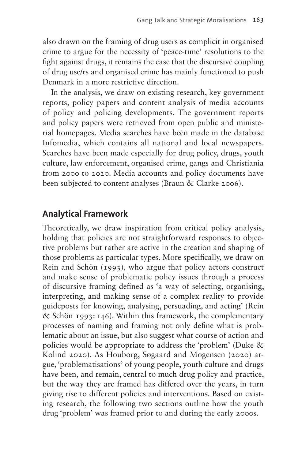also drawn on the framing of drug users as complicit in organised crime to argue for the necessity of 'peace-time' resolutions to the fight against drugs, it remains the case that the discursive coupling of drug use/rs and organised crime has mainly functioned to push Denmark in a more restrictive direction.

In the analysis, we draw on existing research, key government reports, policy papers and content analysis of media accounts of policy and policing developments. The government reports and policy papers were retrieved from open public and ministerial homepages. Media searches have been made in the database Infomedia, which contains all national and local newspapers. Searches have been made especially for drug policy, drugs, youth culture, law enforcement, organised crime, gangs and Christiania from 2000 to 2020. Media accounts and policy documents have been subjected to content analyses (Braun & Clarke 2006).

#### **Analytical Framework**

Theoretically, we draw inspiration from critical policy analysis, holding that policies are not straightforward responses to objective problems but rather are active in the creation and shaping of those problems as particular types. More specifically, we draw on Rein and Schön (1993), who argue that policy actors construct and make sense of problematic policy issues through a process of discursive framing defined as 'a way of selecting, organising, interpreting, and making sense of a complex reality to provide guideposts for knowing, analysing, persuading, and acting' (Rein & Schön 1993:146). Within this framework, the complementary processes of naming and framing not only define what is problematic about an issue, but also suggest what course of action and policies would be appropriate to address the 'problem' (Duke & Kolind 2020). As Houborg, Søgaard and Mogensen (2020) argue, 'problematisations' of young people, youth culture and drugs have been, and remain, central to much drug policy and practice, but the way they are framed has differed over the years, in turn giving rise to different policies and interventions. Based on existing research, the following two sections outline how the youth drug 'problem' was framed prior to and during the early 2000s.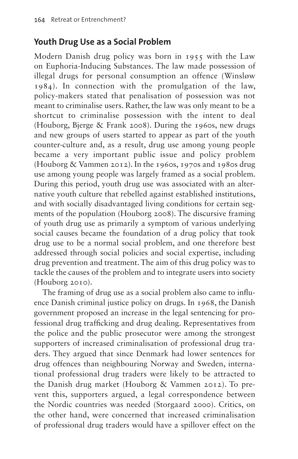#### **Youth Drug Use as a Social Problem**

Modern Danish drug policy was born in 1955 with the Law on Euphoria-Inducing Substances. The law made possession of illegal drugs for personal consumption an offence (Winsløw 1984). In connection with the promulgation of the law, policy-makers stated that penalisation of possession was not meant to criminalise users. Rather, the law was only meant to be a shortcut to criminalise possession with the intent to deal (Houborg, Bjerge & Frank 2008). During the 1960s, new drugs and new groups of users started to appear as part of the youth counter-culture and, as a result, drug use among young people became a very important public issue and policy problem (Houborg & Vammen 2012). In the 1960s, 1970s and 1980s drug use among young people was largely framed as a social problem. During this period, youth drug use was associated with an alternative youth culture that rebelled against established institutions, and with socially disadvantaged living conditions for certain segments of the population (Houborg 2008). The discursive framing of youth drug use as primarily a symptom of various underlying social causes became the foundation of a drug policy that took drug use to be a normal social problem, and one therefore best addressed through social policies and social expertise, including drug prevention and treatment. The aim of this drug policy was to tackle the causes of the problem and to integrate users into society (Houborg 2010).

The framing of drug use as a social problem also came to influence Danish criminal justice policy on drugs. In 1968, the Danish government proposed an increase in the legal sentencing for professional drug trafficking and drug dealing. Representatives from the police and the public prosecutor were among the strongest supporters of increased criminalisation of professional drug traders. They argued that since Denmark had lower sentences for drug offences than neighbouring Norway and Sweden, international professional drug traders were likely to be attracted to the Danish drug market (Houborg & Vammen 2012). To prevent this, supporters argued, a legal correspondence between the Nordic countries was needed (Storgaard 2000). Critics, on the other hand, were concerned that increased criminalisation of professional drug traders would have a spillover effect on the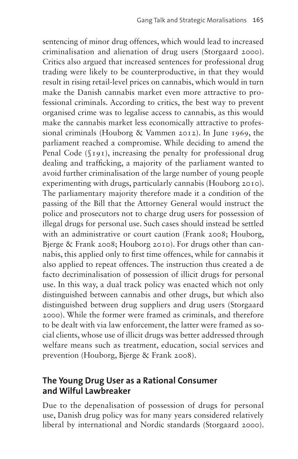sentencing of minor drug offences, which would lead to increased criminalisation and alienation of drug users (Storgaard 2000). Critics also argued that increased sentences for professional drug trading were likely to be counterproductive, in that they would result in rising retail-level prices on cannabis, which would in turn make the Danish cannabis market even more attractive to professional criminals. According to critics, the best way to prevent organised crime was to legalise access to cannabis, as this would make the cannabis market less economically attractive to professional criminals (Houborg & Vammen 2012). In June 1969, the parliament reached a compromise. While deciding to amend the Penal Code (§191), increasing the penalty for professional drug dealing and trafficking, a majority of the parliament wanted to avoid further criminalisation of the large number of young people experimenting with drugs, particularly cannabis (Houborg 2010). The parliamentary majority therefore made it a condition of the passing of the Bill that the Attorney General would instruct the police and prosecutors not to charge drug users for possession of illegal drugs for personal use. Such cases should instead be settled with an administrative or court caution (Frank 2008; Houborg, Bjerge & Frank 2008; Houborg 2010). For drugs other than cannabis, this applied only to first time offences, while for cannabis it also applied to repeat offences. The instruction thus created a de facto decriminalisation of possession of illicit drugs for personal use. In this way, a dual track policy was enacted which not only distinguished between cannabis and other drugs, but which also distinguished between drug suppliers and drug users (Storgaard 2000). While the former were framed as criminals, and therefore to be dealt with via law enforcement, the latter were framed as social clients, whose use of illicit drugs was better addressed through welfare means such as treatment, education, social services and prevention (Houborg, Bjerge & Frank 2008).

#### **The Young Drug User as a Rational Consumer and Wilful Lawbreaker**

Due to the depenalisation of possession of drugs for personal use, Danish drug policy was for many years considered relatively liberal by international and Nordic standards (Storgaard 2000).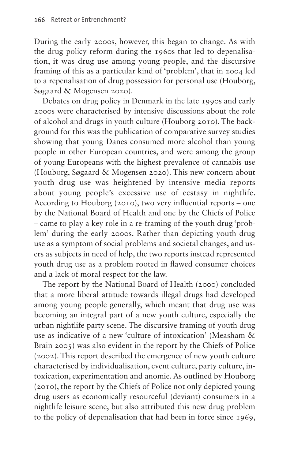During the early 2000s, however, this began to change. As with the drug policy reform during the 1960s that led to depenalisation, it was drug use among young people, and the discursive framing of this as a particular kind of 'problem', that in 2004 led to a repenalisation of drug possession for personal use (Houborg, Søgaard & Mogensen 2020).

Debates on drug policy in Denmark in the late 1990s and early 2000s were characterised by intensive discussions about the role of alcohol and drugs in youth culture (Houborg 2010). The background for this was the publication of comparative survey studies showing that young Danes consumed more alcohol than young people in other European countries, and were among the group of young Europeans with the highest prevalence of cannabis use (Houborg, Søgaard & Mogensen 2020). This new concern about youth drug use was heightened by intensive media reports about young people's excessive use of ecstasy in nightlife. According to Houborg (2010), two very influential reports – one by the National Board of Health and one by the Chiefs of Police – came to play a key role in a re-framing of the youth drug 'problem' during the early 2000s. Rather than depicting youth drug use as a symptom of social problems and societal changes, and users as subjects in need of help, the two reports instead represented youth drug use as a problem rooted in flawed consumer choices and a lack of moral respect for the law.

The report by the National Board of Health (2000) concluded that a more liberal attitude towards illegal drugs had developed among young people generally, which meant that drug use was becoming an integral part of a new youth culture, especially the urban nightlife party scene. The discursive framing of youth drug use as indicative of a new 'culture of intoxication' (Measham & Brain 2005) was also evident in the report by the Chiefs of Police (2002). This report described the emergence of new youth culture characterised by individualisation, event culture, party culture, intoxication, experimentation and anomie. As outlined by Houborg (2010), the report by the Chiefs of Police not only depicted young drug users as economically resourceful (deviant) consumers in a nightlife leisure scene, but also attributed this new drug problem to the policy of depenalisation that had been in force since 1969,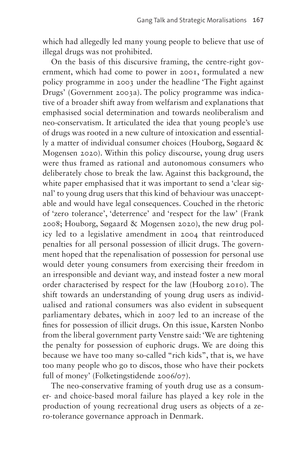which had allegedly led many young people to believe that use of illegal drugs was not prohibited.

On the basis of this discursive framing, the centre-right government, which had come to power in 2001, formulated a new policy programme in 2003 under the headline 'The Fight against Drugs' (Government 2003a). The policy programme was indicative of a broader shift away from welfarism and explanations that emphasised social determination and towards neoliberalism and neo-conservatism. It articulated the idea that young people's use of drugs was rooted in a new culture of intoxication and essentially a matter of individual consumer choices (Houborg, Søgaard & Mogensen 2020). Within this policy discourse, young drug users were thus framed as rational and autonomous consumers who deliberately chose to break the law. Against this background, the white paper emphasised that it was important to send a 'clear signal' to young drug users that this kind of behaviour was unacceptable and would have legal consequences. Couched in the rhetoric of 'zero tolerance', 'deterrence' and 'respect for the law' (Frank 2008; Houborg, Søgaard & Mogensen 2020), the new drug policy led to a legislative amendment in 2004 that reintroduced penalties for all personal possession of illicit drugs. The government hoped that the repenalisation of possession for personal use would deter young consumers from exercising their freedom in an irresponsible and deviant way, and instead foster a new moral order characterised by respect for the law (Houborg 2010). The shift towards an understanding of young drug users as individualised and rational consumers was also evident in subsequent parliamentary debates, which in 2007 led to an increase of the fines for possession of illicit drugs. On this issue, Karsten Nonbo from the liberal government party Venstre said: 'We are tightening the penalty for possession of euphoric drugs. We are doing this because we have too many so-called "rich kids", that is, we have too many people who go to discos, those who have their pockets full of money' (Folketingstidende 2006/07).

The neo-conservative framing of youth drug use as a consumer- and choice-based moral failure has played a key role in the production of young recreational drug users as objects of a zero-tolerance governance approach in Denmark.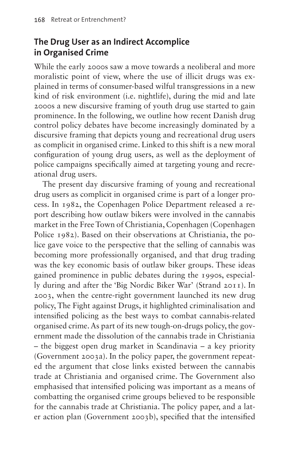### **The Drug User as an Indirect Accomplice in Organised Crime**

While the early 2000s saw a move towards a neoliberal and more moralistic point of view, where the use of illicit drugs was explained in terms of consumer-based wilful transgressions in a new kind of risk environment (i.e. nightlife), during the mid and late 2000s a new discursive framing of youth drug use started to gain prominence. In the following, we outline how recent Danish drug control policy debates have become increasingly dominated by a discursive framing that depicts young and recreational drug users as complicit in organised crime. Linked to this shift is a new moral configuration of young drug users, as well as the deployment of police campaigns specifically aimed at targeting young and recreational drug users.

The present day discursive framing of young and recreational drug users as complicit in organised crime is part of a longer process. In 1982, the Copenhagen Police Department released a report describing how outlaw bikers were involved in the cannabis market in the Free Town of Christiania, Copenhagen (Copenhagen Police 1982). Based on their observations at Christiania, the police gave voice to the perspective that the selling of cannabis was becoming more professionally organised, and that drug trading was the key economic basis of outlaw biker groups. These ideas gained prominence in public debates during the 1990s, especially during and after the 'Big Nordic Biker War' (Strand 2011). In 2003, when the centre-right government launched its new drug policy, The Fight against Drugs, it highlighted criminalisation and intensified policing as the best ways to combat cannabis-related organised crime. As part of its new tough-on-drugs policy, the government made the dissolution of the cannabis trade in Christiania – the biggest open drug market in Scandinavia – a key priority (Government 2003a). In the policy paper, the government repeated the argument that close links existed between the cannabis trade at Christiania and organised crime. The Government also emphasised that intensified policing was important as a means of combatting the organised crime groups believed to be responsible for the cannabis trade at Christiania. The policy paper, and a later action plan (Government 2003b), specified that the intensified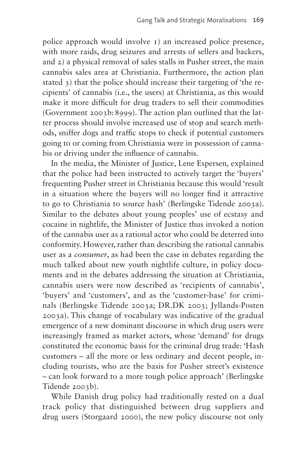police approach would involve 1) an increased police presence, with more raids, drug seizures and arrests of sellers and backers, and 2) a physical removal of sales stalls in Pusher street, the main cannabis sales area at Christiania. Furthermore, the action plan stated 3) that the police should increase their targeting of 'the recipients' of cannabis (i.e., the users) at Christiania, as this would make it more difficult for drug traders to sell their commodities (Government 2003b:8999). The action plan outlined that the latter process should involve increased use of stop and search methods, sniffer dogs and traffic stops to check if potential customers going to or coming from Christiania were in possession of cannabis or driving under the influence of cannabis.

In the media, the Minister of Justice, Lene Espersen, explained that the police had been instructed to actively target the 'buyers' frequenting Pusher street in Christiania because this would 'result in a situation where the buyers will no longer find it attractive to go to Christiania to source hash' (Berlingske Tidende 2003a). Similar to the debates about young peoples' use of ecstasy and cocaine in nightlife, the Minister of Justice thus invoked a notion of the cannabis user as a rational actor who could be deterred into conformity. However, rather than describing the rational cannabis user as a *consumer*, as had been the case in debates regarding the much talked about new youth nightlife culture, in policy documents and in the debates addressing the situation at Christiania, cannabis users were now described as 'recipients of cannabis', 'buyers' and 'customers', and as the 'customer-base' for criminals (Berlingske Tidende 2003a; DR.DK 2003; Jyllands-Posten 2003a). This change of vocabulary was indicative of the gradual emergence of a new dominant discourse in which drug users were increasingly framed as market actors, whose 'demand' for drugs constituted the economic basis for the criminal drug trade: 'Hash customers – all the more or less ordinary and decent people, including tourists, who are the basis for Pusher street's existence – can look forward to a more tough police approach' (Berlingske Tidende 2003b).

While Danish drug policy had traditionally rested on a dual track policy that distinguished between drug suppliers and drug users (Storgaard 2000), the new policy discourse not only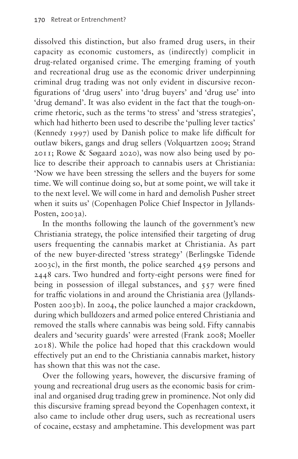dissolved this distinction, but also framed drug users, in their capacity as economic customers, as (indirectly) complicit in drug-related organised crime. The emerging framing of youth and recreational drug use as the economic driver underpinning criminal drug trading was not only evident in discursive reconfigurations of 'drug users' into 'drug buyers' and 'drug use' into 'drug demand'. It was also evident in the fact that the tough-oncrime rhetoric, such as the terms 'to stress' and 'stress strategies', which had hitherto been used to describe the 'pulling lever tactics' (Kennedy 1997) used by Danish police to make life difficult for outlaw bikers, gangs and drug sellers (Volquartzen 2009; Strand 2011; Rowe & Søgaard 2020), was now also being used by police to describe their approach to cannabis users at Christiania: 'Now we have been stressing the sellers and the buyers for some time. We will continue doing so, but at some point, we will take it to the next level. We will come in hard and demolish Pusher street when it suits us' (Copenhagen Police Chief Inspector in Jyllands-Posten, 2003a).

In the months following the launch of the government's new Christiania strategy, the police intensified their targeting of drug users frequenting the cannabis market at Christiania. As part of the new buyer-directed 'stress strategy' (Berlingske Tidende 2003c), in the first month, the police searched 459 persons and 2448 cars. Two hundred and forty-eight persons were fined for being in possession of illegal substances, and 557 were fined for traffic violations in and around the Christiania area (Jyllands-Posten 2003b). In 2004, the police launched a major crackdown, during which bulldozers and armed police entered Christiania and removed the stalls where cannabis was being sold. Fifty cannabis dealers and 'security guards' were arrested (Frank 2008; Moeller 2018). While the police had hoped that this crackdown would effectively put an end to the Christiania cannabis market, history has shown that this was not the case.

Over the following years, however, the discursive framing of young and recreational drug users as the economic basis for criminal and organised drug trading grew in prominence. Not only did this discursive framing spread beyond the Copenhagen context, it also came to include other drug users, such as recreational users of cocaine, ecstasy and amphetamine. This development was part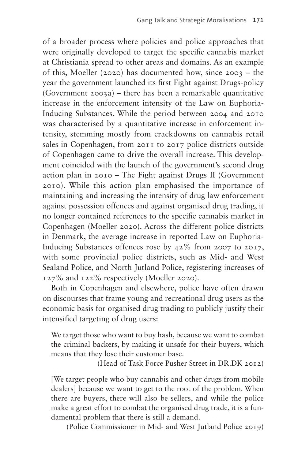of a broader process where policies and police approaches that were originally developed to target the specific cannabis market at Christiania spread to other areas and domains. As an example of this, Moeller (2020) has documented how, since 2003 – the year the government launched its first Fight against Drugs-policy (Government 2003a) – there has been a remarkable quantitative increase in the enforcement intensity of the Law on Euphoria-Inducing Substances. While the period between 2004 and 2010 was characterised by a quantitative increase in enforcement intensity, stemming mostly from crackdowns on cannabis retail sales in Copenhagen, from 2011 to 2017 police districts outside of Copenhagen came to drive the overall increase. This development coincided with the launch of the government's second drug action plan in 2010 – The Fight against Drugs II (Government 2010). While this action plan emphasised the importance of maintaining and increasing the intensity of drug law enforcement against possession offences and against organised drug trading, it no longer contained references to the specific cannabis market in Copenhagen (Moeller 2020). Across the different police districts in Denmark, the average increase in reported Law on Euphoria-Inducing Substances offences rose by 42% from 2007 to 2017, with some provincial police districts, such as Mid- and West Sealand Police, and North Jutland Police, registering increases of 127% and 122% respectively (Moeller 2020).

Both in Copenhagen and elsewhere, police have often drawn on discourses that frame young and recreational drug users as the economic basis for organised drug trading to publicly justify their intensified targeting of drug users:

We target those who want to buy hash, because we want to combat the criminal backers, by making it unsafe for their buyers, which means that they lose their customer base.

(Head of Task Force Pusher Street in DR.DK 2012)

[We target people who buy cannabis and other drugs from mobile dealers] because we want to get to the root of the problem. When there are buyers, there will also be sellers, and while the police make a great effort to combat the organised drug trade, it is a fundamental problem that there is still a demand.

(Police Commissioner in Mid- and West Jutland Police 2019)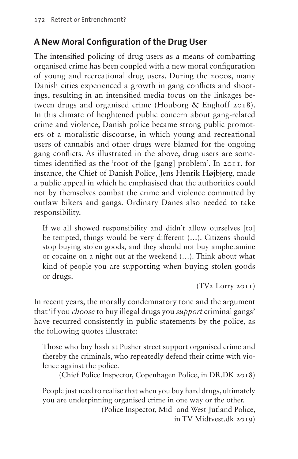### **A New Moral Configuration of the Drug User**

The intensified policing of drug users as a means of combatting organised crime has been coupled with a new moral configuration of young and recreational drug users. During the 2000s, many Danish cities experienced a growth in gang conflicts and shootings, resulting in an intensified media focus on the linkages between drugs and organised crime (Houborg & Enghoff 2018). In this climate of heightened public concern about gang-related crime and violence, Danish police became strong public promoters of a moralistic discourse, in which young and recreational users of cannabis and other drugs were blamed for the ongoing gang conflicts. As illustrated in the above, drug users are sometimes identified as the 'root of the [gang] problem'. In 2011, for instance, the Chief of Danish Police, Jens Henrik Højbjerg, made a public appeal in which he emphasised that the authorities could not by themselves combat the crime and violence committed by outlaw bikers and gangs. Ordinary Danes also needed to take responsibility.

If we all showed responsibility and didn't allow ourselves [to] be tempted, things would be very different (…). Citizens should stop buying stolen goods, and they should not buy amphetamine or cocaine on a night out at the weekend (…). Think about what kind of people you are supporting when buying stolen goods or drugs.

(TV2 Lorry 2011)

In recent years, the morally condemnatory tone and the argument that 'if you *choose* to buy illegal drugs you *support* criminal gangs' have recurred consistently in public statements by the police, as the following quotes illustrate:

Those who buy hash at Pusher street support organised crime and thereby the criminals, who repeatedly defend their crime with violence against the police.

(Chief Police Inspector, Copenhagen Police, in DR.DK 2018)

People just need to realise that when you buy hard drugs, ultimately you are underpinning organised crime in one way or the other.

(Police Inspector, Mid- and West Jutland Police, in TV Midtvest.dk 2019)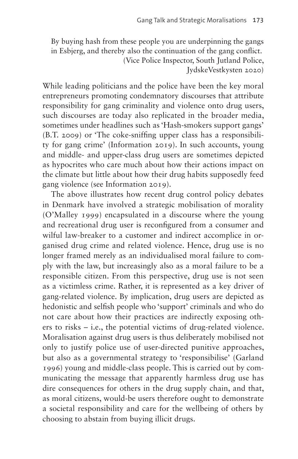By buying hash from these people you are underpinning the gangs in Esbjerg, and thereby also the continuation of the gang conflict. (Vice Police Inspector, South Jutland Police, JydskeVestkysten 2020)

While leading politicians and the police have been the key moral entrepreneurs promoting condemnatory discourses that attribute responsibility for gang criminality and violence onto drug users, such discourses are today also replicated in the broader media, sometimes under headlines such as 'Hash-smokers support gangs' (B.T. 2009) or 'The coke-sniffing upper class has a responsibility for gang crime' (Information 2019). In such accounts, young and middle- and upper-class drug users are sometimes depicted as hypocrites who care much about how their actions impact on the climate but little about how their drug habits supposedly feed gang violence (see Information 2019).

The above illustrates how recent drug control policy debates in Denmark have involved a strategic mobilisation of morality (O'Malley 1999) encapsulated in a discourse where the young and recreational drug user is reconfigured from a consumer and wilful law-breaker to a customer and indirect accomplice in organised drug crime and related violence. Hence, drug use is no longer framed merely as an individualised moral failure to comply with the law, but increasingly also as a moral failure to be a responsible citizen. From this perspective, drug use is not seen as a victimless crime. Rather, it is represented as a key driver of gang-related violence. By implication, drug users are depicted as hedonistic and selfish people who 'support' criminals and who do not care about how their practices are indirectly exposing others to risks – i.e., the potential victims of drug-related violence. Moralisation against drug users is thus deliberately mobilised not only to justify police use of user-directed punitive approaches, but also as a governmental strategy to 'responsibilise' (Garland 1996) young and middle-class people. This is carried out by communicating the message that apparently harmless drug use has dire consequences for others in the drug supply chain, and that, as moral citizens, would-be users therefore ought to demonstrate a societal responsibility and care for the wellbeing of others by choosing to abstain from buying illicit drugs.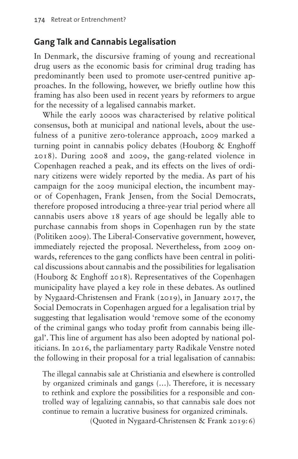#### **Gang Talk and Cannabis Legalisation**

In Denmark, the discursive framing of young and recreational drug users as the economic basis for criminal drug trading has predominantly been used to promote user-centred punitive approaches. In the following, however, we briefly outline how this framing has also been used in recent years by reformers to argue for the necessity of a legalised cannabis market.

While the early 2000s was characterised by relative political consensus, both at municipal and national levels, about the usefulness of a punitive zero-tolerance approach, 2009 marked a turning point in cannabis policy debates (Houborg & Enghoff 2018). During 2008 and 2009, the gang-related violence in Copenhagen reached a peak, and its effects on the lives of ordinary citizens were widely reported by the media. As part of his campaign for the 2009 municipal election, the incumbent mayor of Copenhagen, Frank Jensen, from the Social Democrats, therefore proposed introducing a three-year trial period where all cannabis users above 18 years of age should be legally able to purchase cannabis from shops in Copenhagen run by the state (Politiken 2009). The Liberal-Conservative government, however, immediately rejected the proposal. Nevertheless, from 2009 onwards, references to the gang conflicts have been central in political discussions about cannabis and the possibilities for legalisation (Houborg & Enghoff 2018). Representatives of the Copenhagen municipality have played a key role in these debates. As outlined by Nygaard-Christensen and Frank (2019), in January 2017, the Social Democrats in Copenhagen argued for a legalisation trial by suggesting that legalisation would 'remove some of the economy of the criminal gangs who today profit from cannabis being illegal'. This line of argument has also been adopted by national politicians. In 2016, the parliamentary party Radikale Venstre noted the following in their proposal for a trial legalisation of cannabis:

The illegal cannabis sale at Christiania and elsewhere is controlled by organized criminals and gangs (…). Therefore, it is necessary to rethink and explore the possibilities for a responsible and controlled way of legalizing cannabis, so that cannabis sale does not continue to remain a lucrative business for organized criminals.

(Quoted in Nygaard-Christensen & Frank 2019:6)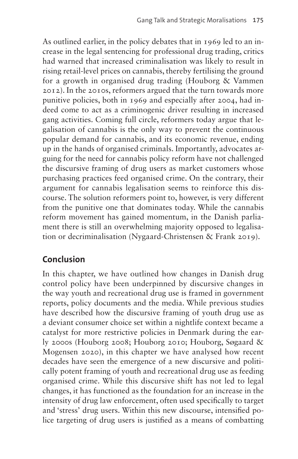As outlined earlier, in the policy debates that in 1969 led to an increase in the legal sentencing for professional drug trading, critics had warned that increased criminalisation was likely to result in rising retail-level prices on cannabis, thereby fertilising the ground for a growth in organised drug trading (Houborg & Vammen 2012). In the 2010s, reformers argued that the turn towards more punitive policies, both in 1969 and especially after 2004, had indeed come to act as a criminogenic driver resulting in increased gang activities. Coming full circle, reformers today argue that legalisation of cannabis is the only way to prevent the continuous popular demand for cannabis, and its economic revenue, ending up in the hands of organised criminals. Importantly, advocates arguing for the need for cannabis policy reform have not challenged the discursive framing of drug users as market customers whose purchasing practices feed organised crime. On the contrary, their argument for cannabis legalisation seems to reinforce this discourse. The solution reformers point to, however, is very different from the punitive one that dominates today. While the cannabis reform movement has gained momentum, in the Danish parliament there is still an overwhelming majority opposed to legalisation or decriminalisation (Nygaard-Christensen & Frank 2019).

## **Conclusion**

In this chapter, we have outlined how changes in Danish drug control policy have been underpinned by discursive changes in the way youth and recreational drug use is framed in government reports, policy documents and the media. While previous studies have described how the discursive framing of youth drug use as a deviant consumer choice set within a nightlife context became a catalyst for more restrictive policies in Denmark during the early 2000s (Houborg 2008; Houborg 2010; Houborg, Søgaard & Mogensen 2020), in this chapter we have analysed how recent decades have seen the emergence of a new discursive and politically potent framing of youth and recreational drug use as feeding organised crime. While this discursive shift has not led to legal changes, it has functioned as the foundation for an increase in the intensity of drug law enforcement, often used specifically to target and 'stress' drug users. Within this new discourse, intensified police targeting of drug users is justified as a means of combatting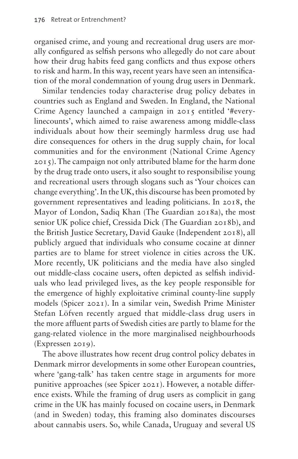organised crime, and young and recreational drug users are morally configured as selfish persons who allegedly do not care about how their drug habits feed gang conflicts and thus expose others to risk and harm. In this way, recent years have seen an intensification of the moral condemnation of young drug users in Denmark.

Similar tendencies today characterise drug policy debates in countries such as England and Sweden. In England, the National Crime Agency launched a campaign in 2015 entitled '#everylinecounts', which aimed to raise awareness among middle-class individuals about how their seemingly harmless drug use had dire consequences for others in the drug supply chain, for local communities and for the environment (National Crime Agency 2015). The campaign not only attributed blame for the harm done by the drug trade onto users, it also sought to responsibilise young and recreational users through slogans such as 'Your choices can change everything'. In the UK, this discourse has been promoted by government representatives and leading politicians. In 2018, the Mayor of London, Sadiq Khan (The Guardian 2018a), the most senior UK police chief, Cressida Dick (The Guardian 2018b), and the British Justice Secretary, David Gauke (Independent 2018), all publicly argued that individuals who consume cocaine at dinner parties are to blame for street violence in cities across the UK. More recently, UK politicians and the media have also singled out middle-class cocaine users, often depicted as selfish individuals who lead privileged lives, as the key people responsible for the emergence of highly exploitative criminal county-line supply models (Spicer 2021). In a similar vein, Swedish Prime Minister Stefan Löfven recently argued that middle-class drug users in the more affluent parts of Swedish cities are partly to blame for the gang-related violence in the more marginalised neighbourhoods (Expressen 2019).

The above illustrates how recent drug control policy debates in Denmark mirror developments in some other European countries, where 'gang-talk' has taken centre stage in arguments for more punitive approaches (see Spicer 2021). However, a notable difference exists. While the framing of drug users as complicit in gang crime in the UK has mainly focused on cocaine users, in Denmark (and in Sweden) today, this framing also dominates discourses about cannabis users. So, while Canada, Uruguay and several US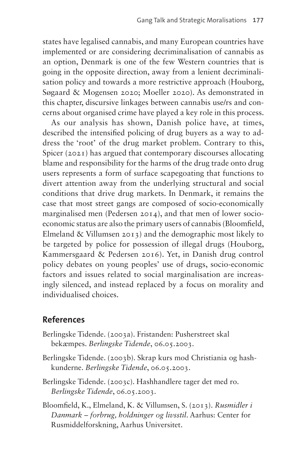states have legalised cannabis, and many European countries have implemented or are considering decriminalisation of cannabis as an option, Denmark is one of the few Western countries that is going in the opposite direction, away from a lenient decriminalisation policy and towards a more restrictive approach (Houborg, Søgaard & Mogensen 2020; Moeller 2020). As demonstrated in this chapter, discursive linkages between cannabis use/rs and concerns about organised crime have played a key role in this process.

As our analysis has shown, Danish police have, at times, described the intensified policing of drug buyers as a way to address the 'root' of the drug market problem. Contrary to this, Spicer (2021) has argued that contemporary discourses allocating blame and responsibility for the harms of the drug trade onto drug users represents a form of surface scapegoating that functions to divert attention away from the underlying structural and social conditions that drive drug markets. In Denmark, it remains the case that most street gangs are composed of socio-economically marginalised men (Pedersen 2014), and that men of lower socioeconomic status are also the primary users of cannabis (Bloomfield, Elmeland & Villumsen 2013) and the demographic most likely to be targeted by police for possession of illegal drugs (Houborg, Kammersgaard & Pedersen 2016). Yet, in Danish drug control policy debates on young peoples' use of drugs, socio-economic factors and issues related to social marginalisation are increasingly silenced, and instead replaced by a focus on morality and individualised choices.

#### **References**

- Berlingske Tidende. (2003a). Fristanden: Pusherstreet skal bekæmpes. *Berlingske Tidende*, 06.05.2003.
- Berlingske Tidende. (2003b). Skrap kurs mod Christiania og hashkunderne. *Berlingske Tidende*, 06.05.2003.
- Berlingske Tidende. (2003c). Hashhandlere tager det med ro. *Berlingske Tidende*, 06.05.2003.
- Bloomfield, K., Elmeland, K. & Villumsen, S. (2013). *Rusmidler i Danmark – forbrug, holdninger og livsstil*. Aarhus: Center for Rusmiddelforskning, Aarhus Universitet.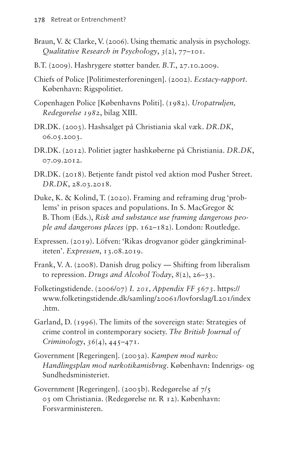- Braun, V. & Clarke, V. (2006). Using thematic analysis in psychology. *Qualitative Research in Psychology*, *3*(2), 77–101.
- B.T. (2009). Hashrygere støtter bander. *B.T.*, 27.10.2009.
- Chiefs of Police [Politimesterforeningen]. (2002). *Ecstacy-rapport*. København: Rigspolitiet.
- Copenhagen Police [Københavns Politi]. (1982). *Uropatruljen, Redegørelse 1982*, bilag XIII.
- [DR.DK](http://DR.DK). (2003). Hashsalget på Christiania skal væk. *[DR.DK](http://DR.DK)*, 06.05.2003.
- [DR.DK](http://DR.DK). (2012). Politiet jagter hashkøberne på Christiania. *[DR.DK](http://DR.DK)*, 07.09.2012.
- [DR.DK](http://DR.DK). (2018). Betjente fandt pistol ved aktion mod Pusher Street. *[DR.DK](http://DR.DK)*, 28.03.2018.
- Duke, K. & Kolind, T. (2020). Framing and reframing drug 'problems' in prison spaces and populations. In S. MacGregor & B. Thom (Eds.), *Risk and substance use framing dangerous people and dangerous places* (pp. 162–182). London: Routledge.
- Expressen. (2019). Löfven: 'Rikas drogvanor göder gängkriminaliteten'. *Expressen*, 13.08.2019.
- Frank, V. A. (2008). Danish drug policy Shifting from liberalism to repression. *Drugs and Alcohol Today*, *8*(2), 26–33.
- Folketingstidende. (2006/07) *L 201, Appendix FF 5673*. [https://](https://www.folketingstidende.dk/samling/20061/lovforslag/L201/index.htm) [www.folketingstidende.dk/samling/20061/lovforslag/L201/index](https://www.folketingstidende.dk/samling/20061/lovforslag/L201/index.htm) [.htm.](https://www.folketingstidende.dk/samling/20061/lovforslag/L201/index.htm)
- Garland, D. (1996). The limits of the sovereign state: Strategies of crime control in contemporary society. *The British Journal of Criminology*, *36*(4), 445–471.
- Government [Regeringen]. (2003a). *Kampen mod narko: Handlingsplan mod narkotikamisbrug*. København: Indenrigs- og Sundhedsministeriet.
- Government [Regeringen]. (2003b). Redegørelse af 7/5 03 om Christiania. (Redegørelse nr. R 12). København: Forsvarministeren.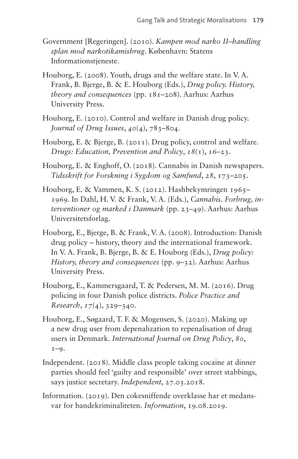- Government [Regeringen]. (2010). *Kampen mod narko II–handling splan mod narkotikamisbrug*. København: Statens Informationstjeneste.
- Houborg, E. (2008). Youth, drugs and the welfare state. In V. A. Frank, B. Bjerge, B. & E. Houborg (Eds.), *Drug policy. History, theory and consequences* (pp. 181–208). Aarhus: Aarhus University Press.
- Houborg, E. (2010). Control and welfare in Danish drug policy. *Journal of Drug Issues*, *40*(4), 783–804.
- Houborg, E. & Bjerge, B. (2011). Drug policy, control and welfare. *Drugs: Education, Prevention and Policy*, *18*(1), 16–23.
- Houborg, E. & Enghoff, O. (2018). Cannabis in Danish newspapers. *Tidsskrift for Forskning i Sygdom og Samfund*, *28*, 173–205.
- Houborg, E. & Vammen, K. S. (2012). Hashbekymringen 1965– 1969. In Dahl, H. V. & Frank, V. A. (Eds.), *Cannabis. Forbrug, interventioner og marked i Danmark* (pp. 23–49). Aarhus: Aarhus Universitetsforlag.
- Houborg, E., Bjerge, B. & Frank, V. A. (2008). Introduction: Danish drug policy – history, theory and the international framework. In V. A. Frank, B. Bjerge, B. & E. Houborg (Eds.), *Drug policy: History, theory and consequences* (pp. 9–32). Aarhus: Aarhus University Press.
- Houborg, E., Kammersgaard, T. & Pedersen, M. M. (2016). Drug policing in four Danish police districts. *Police Practice and Research*, *17*(4), 329–340.
- Houborg, E., Søgaard, T. F. & Mogensen, S. (2020). Making up a new drug user from depenalization to repenalisation of drug users in Denmark. *International Journal on Drug Policy*, *80*,  $I-9.$
- Independent. (2018). Middle class people taking cocaine at dinner parties should feel 'guilty and responsible' over street stabbings, says justice secretary. *Independent*, 27.05.2018.
- Information. (2019). Den cokesniffende overklasse har et medansvar for bandekriminaliteten. *Information*, 19.08.2019.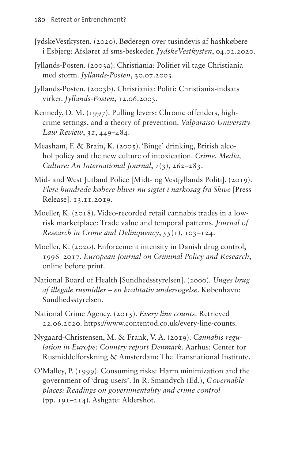- JydskeVestkysten. (2020). Bøderegn over tusindevis af hashkøbere i Esbjerg: Afsløret af sms-beskeder. *JydskeVestkysten*, 04.02.2020.
- Jyllands-Posten. (2003a). Christiania: Politiet vil tage Christiania med storm. *Jyllands-Posten*, 30.07.2003.
- Jyllands-Posten. (2003b). Christiania: Politi: Christiania-indsats virker. *Jyllands-Posten*, 12.06.2003.
- Kennedy, D. M. (1997). Pulling levers: Chronic offenders, highcrime settings, and a theory of prevention. *Valparaiso University Law Review*, *31*, 449–484.
- Measham, F. & Brain, K. (2005). 'Binge' drinking, British alcohol policy and the new culture of intoxication. *Crime, Media, Culture: An International Journal*, *1*(3), 262–283.
- Mid- and West Jutland Police [Midt- og Vestjyllands Politi]. (2019). *Flere hundrede købere bliver nu sigtet i narkosag fra Skive* [Press Release]. 13.11.2019.
- Moeller, K. (2018). Video-recorded retail cannabis trades in a lowrisk marketplace: Trade value and temporal patterns. *Journal of Research in Crime and Delinquency*, *55*(1), 103–124.
- Moeller, K. (2020). Enforcement intensity in Danish drug control, 1996–2017. *European Journal on Criminal Policy and Research*, online before print.
- National Board of Health [Sundhedsstyrelsen]. (2000). *Unges brug af illegale rusmidler – en kvalitativ undersøgelse*. København: Sundhedsstyrelsen.
- National Crime Agency. (2015). *Every line counts*. Retrieved 22.06.2020. <https://www.contentod.co.uk/every-line-counts>.
- Nygaard-Christensen, M. & Frank, V. A. (2019). *Cannabis regulation in Europe: Country report Denmark*. Aarhus: Center for Rusmiddelforskning & Amsterdam: The Transnational Institute.
- O'Malley, P. (1999). Consuming risks: Harm minimization and the government of 'drug-users'. In R. Smandych (Ed.), *Governable places: Readings on governmentality and crime control*  (pp. 191–214). Ashgate: Aldershot.